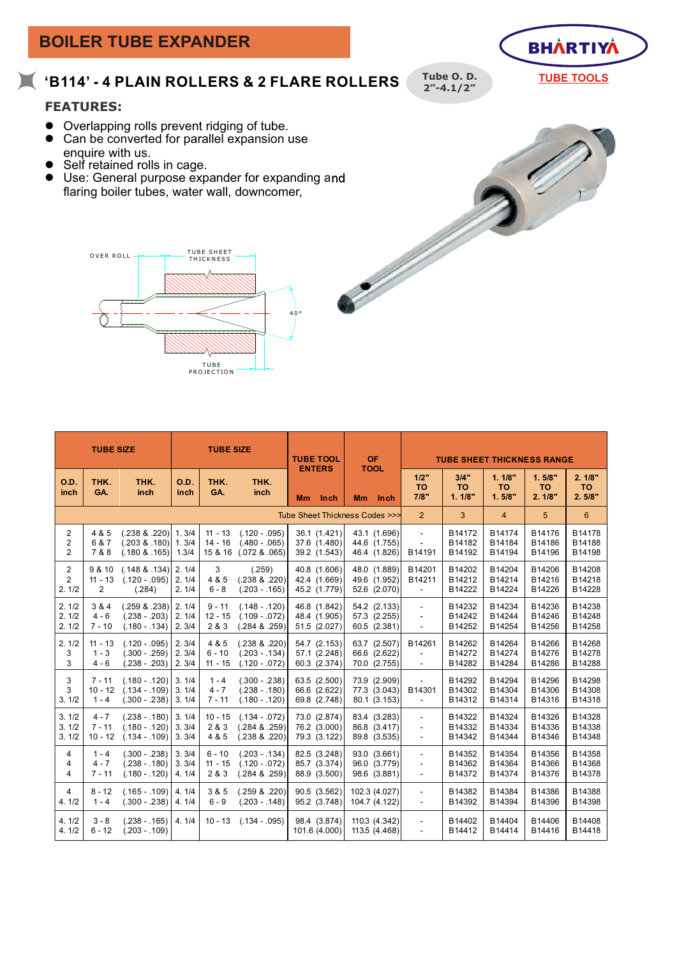

| TUBE       |  |
|------------|--|
| PROJECTION |  |
|            |  |

| <b>TUBE SIZE</b>                      |                                       |                                                                           | <b>TUBE SIZE</b>        |                                   |                                                         | <b>TUBE TOOL</b><br><b>ENTERS</b>            | <b>OF</b><br><b>TOOL</b>                     | <b>TUBE SHEET THICKNESS RANGE</b>                                                |                             |                               |                               |                               |
|---------------------------------------|---------------------------------------|---------------------------------------------------------------------------|-------------------------|-----------------------------------|---------------------------------------------------------|----------------------------------------------|----------------------------------------------|----------------------------------------------------------------------------------|-----------------------------|-------------------------------|-------------------------------|-------------------------------|
| O.D.<br>inch                          | THK.<br>GA.                           | THK.<br>inch                                                              | O.D.<br>inch            | THK.<br>GA.                       | THK.<br>inch                                            | <b>Inch</b><br><b>Mm</b>                     | Mm Inch                                      | 1/2"<br><b>TO</b><br>7/8"                                                        | 3/4"<br><b>TO</b><br>1.1/8" | 1.1/8"<br><b>TO</b><br>1.5/8" | 1.5/8"<br><b>TO</b><br>2.1/8" | 2.1/8"<br><b>TO</b><br>2.5/8" |
|                                       |                                       |                                                                           |                         |                                   |                                                         | Tube Sheet Thickness Codes >>>               |                                              | $\overline{2}$                                                                   | 3                           | $\overline{4}$                | 5                             | 6                             |
| $\overline{2}$<br>2<br>$\overline{2}$ | 4 & 5<br>6 & 7<br>7 & 8               | $(.238 \& .220)$<br>$(.203 \& .180)$ 1. 3/4<br>$(.180$ & $.165)$          | 1.3/4<br>1.3/4          | $11 - 13$<br>$14 - 16$<br>15 & 16 | $(.120 - .095)$<br>$(.480 - .065)$<br>$(.072$ & $.065)$ | 36.1 (1.421)<br>37.6 (1.480)<br>39.2 (1.543) | 43.1 (1.696)<br>44.6 (1.755)<br>46.4 (1.826) | $\sim$<br>$\sim$<br>B14191                                                       | B14172<br>B14182<br>B14192  | B14174<br>B14184<br>B14194    | B14176<br>B14186<br>B14196    | B14178<br>B14188<br>B14198    |
| $\overline{2}$<br>2<br>2.1/2          | 9 & 10<br>$11 - 13$<br>$\overline{2}$ | $(.148 \& .134)$ 2.1/4<br>$(.120 - .095)$ 2. 1/4<br>(.284)                | 2.1/4                   | 3<br>4 & 5<br>$6 - 8$             | (.259)<br>$(.238 \& .220)$<br>$(.203 - .165)$           | 40.8 (1.606)<br>42.4 (1.669)<br>45.2 (1.779) | 48.0 (1.889)<br>49.6 (1.952)<br>52.6 (2.070) | B14201<br>B14211<br>$\blacksquare$                                               | B14202<br>B14212<br>B14222  | B14204<br>B14214<br>B14224    | B14206<br>B14216<br>B14226    | B14208<br>B14218<br>B14228    |
| 2.1/2<br>2.1/2<br>2.1/2               | 3 & 4<br>$4 - 6$<br>$7 - 10$          | $(.259 & .238)$ 2.1/4<br>$(.238 - .203)$<br>$(.180 - .134)$               | 2.1/4<br>2.3/4          | $9 - 11$<br>$12 - 15$<br>2 & 3    | $(.148 - .120)$<br>$(.109 - .072)$<br>$(.284 \& .259)$  | 46.8 (1.842)<br>48.4 (1.905)<br>51.5 (2.027) | 54.2 (2.133)<br>57.3 (2.255)<br>60.5 (2.381) | $\sim$<br>$\overline{\phantom{a}}$<br>÷,                                         | B14232<br>B14242<br>B14252  | B14234<br>B14244<br>B14254    | B14236<br>B14246<br>B14256    | B14238<br>B14248<br>B14258    |
| 2.1/2<br>3<br>3                       | $11 - 13$<br>$1 - 3$<br>$4 - 6$       | $(.120 - .095)$<br>$(.300 - .259)$<br>$(.238 - .203)$                     | 2.3/4<br>2.3/4<br>2.3/4 | 4 & 5<br>$6 - 10$<br>$11 - 15$    | $(.238 \& .220)$<br>$(.203 - .134)$<br>$(.120 - .072)$  | 54.7 (2.153)<br>57.1 (2.248)<br>60.3 (2.374) | 63.7 (2.507)<br>66.6 (2.622)<br>70.0 (2.755) | B14261<br>$\sim$<br>$\mathbf{r}$                                                 | B14262<br>B14272<br>B14282  | B14264<br>B14274<br>B14284    | B14266<br>B14276<br>B14286    | B14268<br>B14278<br>B14288    |
| 3<br>3<br>3.1/2                       | $7 - 11$<br>$10 - 12$<br>$1 - 4$      | $(.180 - .120)$ 3.1/4<br>$(.134 - .109)$ 3. 1/4<br>$(.300 - .238)$ 3.1/4  |                         | $1 - 4$<br>$4 - 7$<br>$7 - 11$    | $(.300 - .238)$<br>$(.238 - .180)$<br>$(.180 - .120)$   | 63.5 (2.500)<br>66.6 (2.622)<br>69.8 (2.748) | 73.9 (2.909)<br>77.3 (3.043)<br>80.1 (3.153) | B14301<br>÷,                                                                     | B14292<br>B14302<br>B14312  | B14294<br>B14304<br>B14314    | B14296<br>B14306<br>B14316    | B14298<br>B14308<br>B14318    |
| 3.1/2<br>3.1/2<br>3.1/2               | $4 - 7$<br>$7 - 11$<br>$10 - 12$      | $(.238 - .180)$ 3.1/4<br>$(.180 - .120)$ 3. 3/4<br>$(.134 - .109)$ 3. 3/4 |                         | $10 - 15$<br>2 & 3<br>4 & 5       | $(.134 - .072)$<br>$(.284 \& .259)$<br>$(.238 \& .220)$ | 73.0 (2.874)<br>76.2 (3.000)<br>79.3 (3.122) | 83.4 (3.283)<br>86.8 (3.417)<br>89.8 (3.535) | $\sim$<br>$\overline{a}$<br>$\overline{\phantom{a}}$                             | B14322<br>B14332<br>B14342  | B14324<br>B14334<br>B14344    | B14326<br>B14336<br>B14346    | B14328<br>B14338<br>B14348    |
| 4<br>4<br>4                           | $1 - 4$<br>$4 - 7$<br>$7 - 11$        | $(.300 - .238)$<br>$(.238 - .180)$<br>$(.180 - .120)$                     | 3.3/4<br>3.3/4<br>4.1/4 | $6 - 10$<br>$11 - 15$<br>2 & 3    | $(.203 - .134)$<br>$(.120 - .072)$<br>$(.284 \& .259)$  | 82.5 (3.248)<br>85.7 (3.374)<br>88.9 (3.500) | 93.0 (3.661)<br>96.0 (3.779)<br>98.6 (3.881) | $\overline{\phantom{a}}$<br>$\overline{\phantom{a}}$<br>$\overline{\phantom{a}}$ | B14352<br>B14362<br>B14372  | B14354<br>B14364<br>B14374    | B14356<br>B14366<br>B14376    | B14358<br>B14368<br>B14378    |
| 4<br>4.1/2                            | $8 - 12$<br>$1 - 4$                   | $(.165 - .109)$<br>$(.300 - .238)$ 4.1/4                                  | 4.1/4                   | 3 & 5<br>$6 - 9$                  | $(.259 \& .220)$<br>$(.203 - .148)$                     | 90.5 (3.562)<br>95.2 (3.748)                 | 102.3 (4.027)<br>104.7 (4.122)               | $\overline{\phantom{a}}$<br>$\overline{\phantom{a}}$                             | B14382<br>B14392            | B14384<br>B14394              | B14386<br>B14396              | B14388<br>B14398              |
| 4.1/2<br>4.1/2                        | $3 - 8$<br>$6 - 12$                   | $(.238 - .165)$<br>$(.203 - .109)$                                        | 4.1/4                   | $10 - 13$                         | $(.134 - .095)$                                         | 98.4 (3.874)<br>101.6 (4.000)                | 110.3 (4.342)<br>113.5 (4.468)               | $\blacksquare$<br>$\overline{\phantom{a}}$                                       | B14402<br>B14412            | B14404<br>B14414              | B14406<br>B14416              | B14408<br>B14418              |